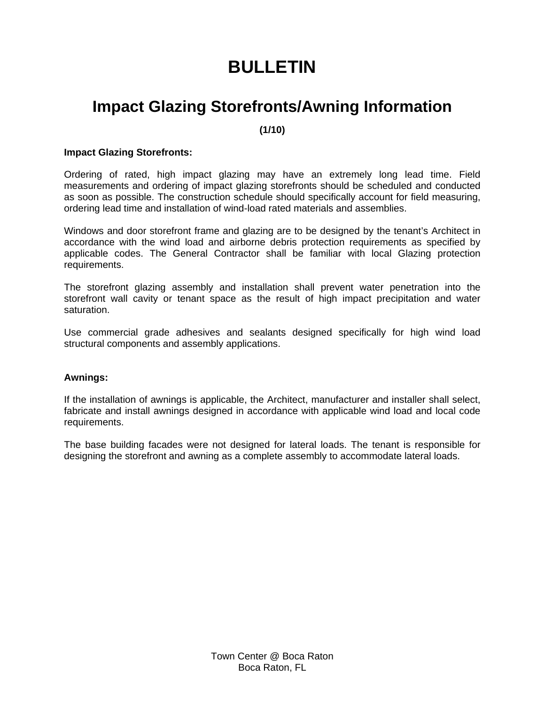# **BULLETIN**

### **Impact Glazing Storefronts/Awning Information**

**(1/10)** 

#### **Impact Glazing Storefronts:**

Ordering of rated, high impact glazing may have an extremely long lead time. Field measurements and ordering of impact glazing storefronts should be scheduled and conducted as soon as possible. The construction schedule should specifically account for field measuring, ordering lead time and installation of wind-load rated materials and assemblies.

Windows and door storefront frame and glazing are to be designed by the tenant's Architect in accordance with the wind load and airborne debris protection requirements as specified by applicable codes. The General Contractor shall be familiar with local Glazing protection requirements.

The storefront glazing assembly and installation shall prevent water penetration into the storefront wall cavity or tenant space as the result of high impact precipitation and water saturation.

Use commercial grade adhesives and sealants designed specifically for high wind load structural components and assembly applications.

#### **Awnings:**

If the installation of awnings is applicable, the Architect, manufacturer and installer shall select, fabricate and install awnings designed in accordance with applicable wind load and local code requirements.

The base building facades were not designed for lateral loads. The tenant is responsible for designing the storefront and awning as a complete assembly to accommodate lateral loads.

> Town Center @ Boca Raton Boca Raton, FL